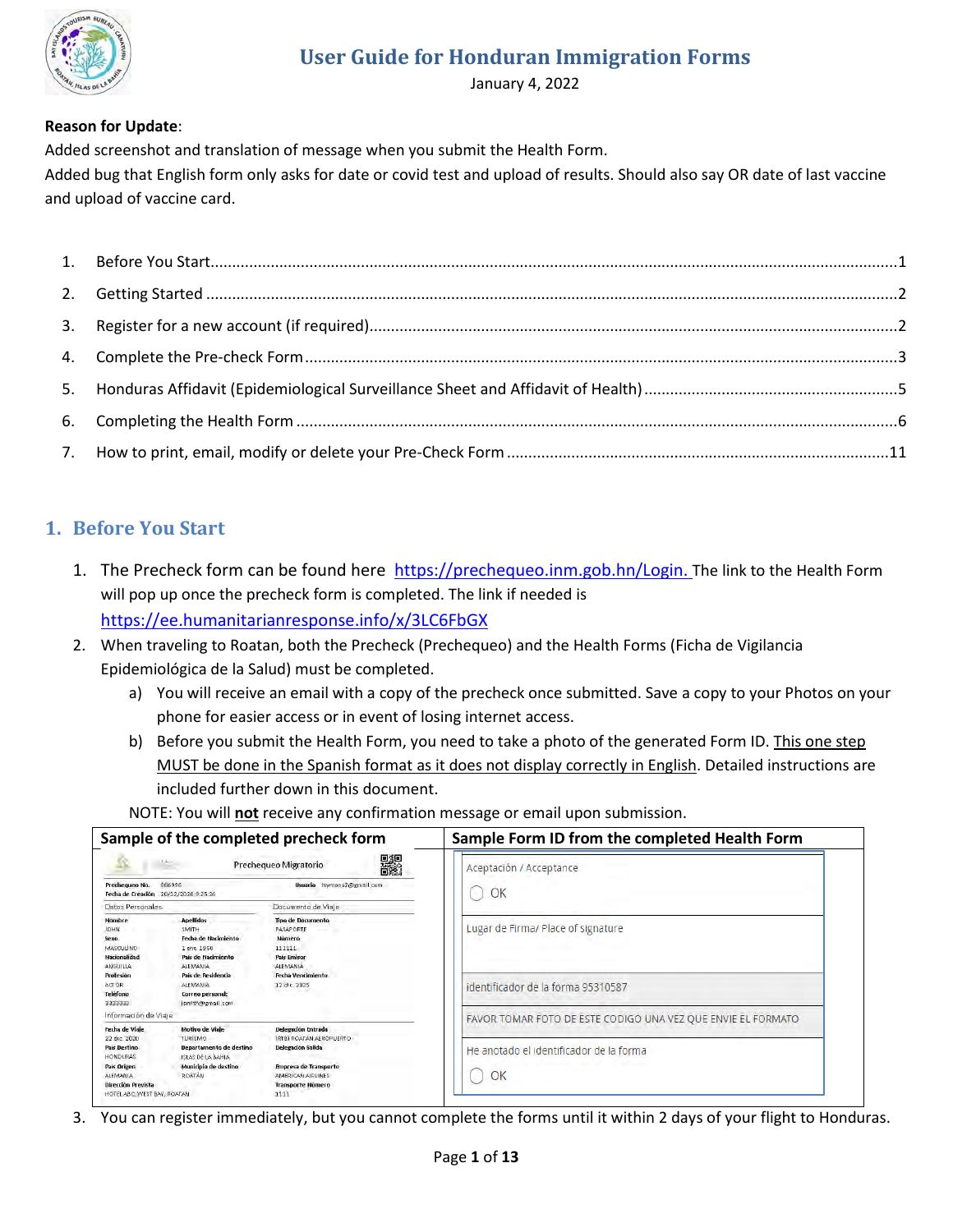

January 4, 2022

### **Reason for Update**:

Added screenshot and translation of message when you submit the Health Form.

Added bug that English form only asks for date or covid test and upload of results. Should also say OR date of last vaccine and upload of vaccine card.

## <span id="page-0-0"></span>**1. Before You Start**

- 1. The Precheck form can be found here [https://prechequeo.inm.gob.hn/Login.](https://prechequeo.inm.gob.hn/Login) The link to the Health Form will pop up once the precheck form is completed. The link if needed is <https://ee.humanitarianresponse.info/x/3LC6FbGX>
- 2. When traveling to Roatan, both the Precheck (Prechequeo) and the Health Forms (Ficha de Vigilancia Epidemiológica de la Salud) must be completed.
	- a) You will receive an email with a copy of the precheck once submitted. Save a copy to your Photos on your phone for easier access or in event of losing internet access.
	- b) Before you submit the Health Form, you need to take a photo of the generated Form ID. This one step MUST be done in the Spanish format as it does not display correctly in English. Detailed instructions are included further down in this document.

NOTE: You will **not** receive any confirmation message or email upon submission.

|                                                                                                                                     |                                                                                                                                                                               | Sample of the completed precheck form                                                                                                   | Sample Form ID from the completed Health Form                            |
|-------------------------------------------------------------------------------------------------------------------------------------|-------------------------------------------------------------------------------------------------------------------------------------------------------------------------------|-----------------------------------------------------------------------------------------------------------------------------------------|--------------------------------------------------------------------------|
| Prechequeo No.<br>Fecha de Creación 20/12/2020 9:25:26                                                                              | VA:<br>886996                                                                                                                                                                 | 鸓<br>Prechequeo Migratorio<br>Usuario tsymons2@gmail.com                                                                                | Aceptación / Acceptance<br>OK                                            |
| Datos Personales                                                                                                                    |                                                                                                                                                                               | Documento de Viaje                                                                                                                      |                                                                          |
| Nombre<br><b>JOHN</b><br>Sexo.<br><b>MASCULINO</b><br><b>Marionalidad</b><br>ANGUILLA<br>Profesión<br>ACTOR:<br>Teléfono<br>3333333 | <b>Apellidos</b><br>SMITH<br>Fecha de Nacimiento.<br>1 ene. 1950<br>País de Nacimiento<br>ALEMANIA<br>País de Residencia<br>ALEMANIA.<br>Correo personal:<br>ismith@gmail.com | <b>Tipo de Documento</b><br>PASAPORTE<br>Número<br>111111<br><b>País Emisor</b><br>ALEMANIA<br><b>Fecha Vencimiento</b><br>12 dic. 2025 | Lugar de Firma/ Place of signature<br>identificador de la forma 95310587 |
| Información de Viaje<br>Fecha de Viaie                                                                                              | Motivo de Viale                                                                                                                                                               |                                                                                                                                         | FAVOR TOMAR FOTO DE ESTE CODIGO UNA VEZ QUE ENVIE EL FORMATO             |
| 22 dic. 2020<br><b>País Destino</b><br><b>HONDURAS</b>                                                                              | <b>TURISMO</b><br>Departamento de destino<br><b>ISTAS DETA BAHIA</b>                                                                                                          | Delegación Entrada<br>(RTB) ROATAN AEROPLIERTO<br><b>Delegación Salida</b>                                                              | He anotado el identificador de la forma                                  |
| <b>Pais Origen</b><br><b>ALFMANIA</b><br>Dirección Prevista<br>HOTEL ABC, WEST BAY, ROATAN                                          | Municipio de destino<br>ROATÁN                                                                                                                                                | <b>Empresa de Transporte</b><br>AMERICAN AIRLINES<br>Transporte Número<br>1111                                                          | OK                                                                       |

3. You can register immediately, but you cannot complete the forms until it within 2 days of your flight to Honduras.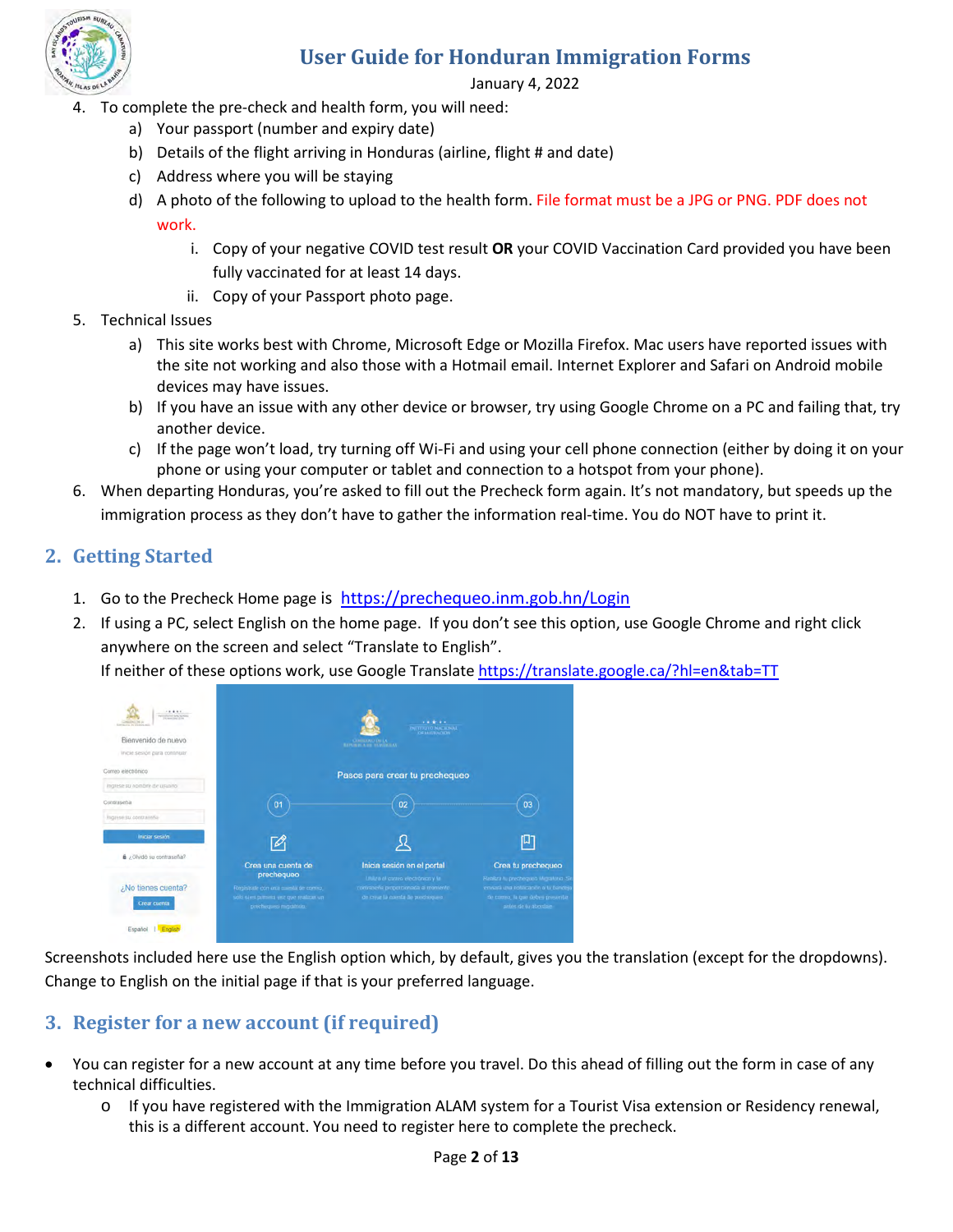

January 4, 2022

- 4. To complete the pre-check and health form, you will need:
	- a) Your passport (number and expiry date)
	- b) Details of the flight arriving in Honduras (airline, flight # and date)
	- c) Address where you will be staying
	- d) A photo of the following to upload to the health form. File format must be a JPG or PNG. PDF does not work.
		- i. Copy of your negative COVID test result **OR** your COVID Vaccination Card provided you have been fully vaccinated for at least 14 days.
		- ii. Copy of your Passport photo page.
- 5. Technical Issues
	- a) This site works best with Chrome, Microsoft Edge or Mozilla Firefox. Mac users have reported issues with the site not working and also those with a Hotmail email. Internet Explorer and Safari on Android mobile devices may have issues.
	- b) If you have an issue with any other device or browser, try using Google Chrome on a PC and failing that, try another device.
	- c) If the page won't load, try turning off Wi-Fi and using your cell phone connection (either by doing it on your phone or using your computer or tablet and connection to a hotspot from your phone).
- 6. When departing Honduras, you're asked to fill out the Precheck form again. It's not mandatory, but speeds up the immigration process as they don't have to gather the information real-time. You do NOT have to print it.

### <span id="page-1-0"></span>**2. Getting Started**

- 1. Go to the Precheck Home page is <https://prechequeo.inm.gob.hn/Login>
- 2. If using a PC, select English on the home page. If you don't see this option, use Google Chrome and right click anywhere on the screen and select "Translate to English".

If neither of these options work, use Google Translat[e https://translate.google.ca/?hl=en&tab=TT](https://translate.google.ca/?hl=en&tab=TT) 

| <b>CARDON</b><br>THE AMERICAN COMPANY<br>Bienvenido de nuevo<br>Inicie sesión para continuar |                                                                               | 1.1414<br><b>PATTERO NACIONAL</b><br>COMMAND BY AS                          |                                                                          |
|----------------------------------------------------------------------------------------------|-------------------------------------------------------------------------------|-----------------------------------------------------------------------------|--------------------------------------------------------------------------|
| Correo electrónico                                                                           |                                                                               | Pasos para crear tu prechequeo                                              |                                                                          |
| inglese su nombre de usuano                                                                  |                                                                               |                                                                             |                                                                          |
| Contraseña                                                                                   | 01                                                                            | 02                                                                          | 03                                                                       |
| Ingrese su contrarintal                                                                      |                                                                               |                                                                             |                                                                          |
| Iniciar sesión                                                                               |                                                                               |                                                                             |                                                                          |
| B ¿Olvidó su contraseña?                                                                     | Crea una cuenta de                                                            | Inicia sesión en el portal                                                  | Crea tu prechequeo                                                       |
|                                                                                              | prechequeo                                                                    | Unites at correo electrónico y la                                           | Realizá lu precheques Migratorio. S                                      |
| ¿No tienes cuenta?                                                                           | Registrate con una cuenta de comeo.<br>solo si es pitmerà vez que realizas un | contrarena proporcionada al montento.<br>de crear la cuenta de precisequen- | envará una notificación o tu bandejo<br>de comso, la que debes presentar |
| <b>Crear</b> cuenta                                                                          | procheques migration.                                                         |                                                                             | antes de lu abordaio                                                     |
| Español                                                                                      |                                                                               |                                                                             |                                                                          |

Screenshots included here use the English option which, by default, gives you the translation (except for the dropdowns). Change to English on the initial page if that is your preferred language.

## <span id="page-1-1"></span>**3. Register for a new account (if required)**

- You can register for a new account at any time before you travel. Do this ahead of filling out the form in case of any technical difficulties.
	- o If you have registered with the Immigration ALAM system for a Tourist Visa extension or Residency renewal, this is a different account. You need to register here to complete the precheck.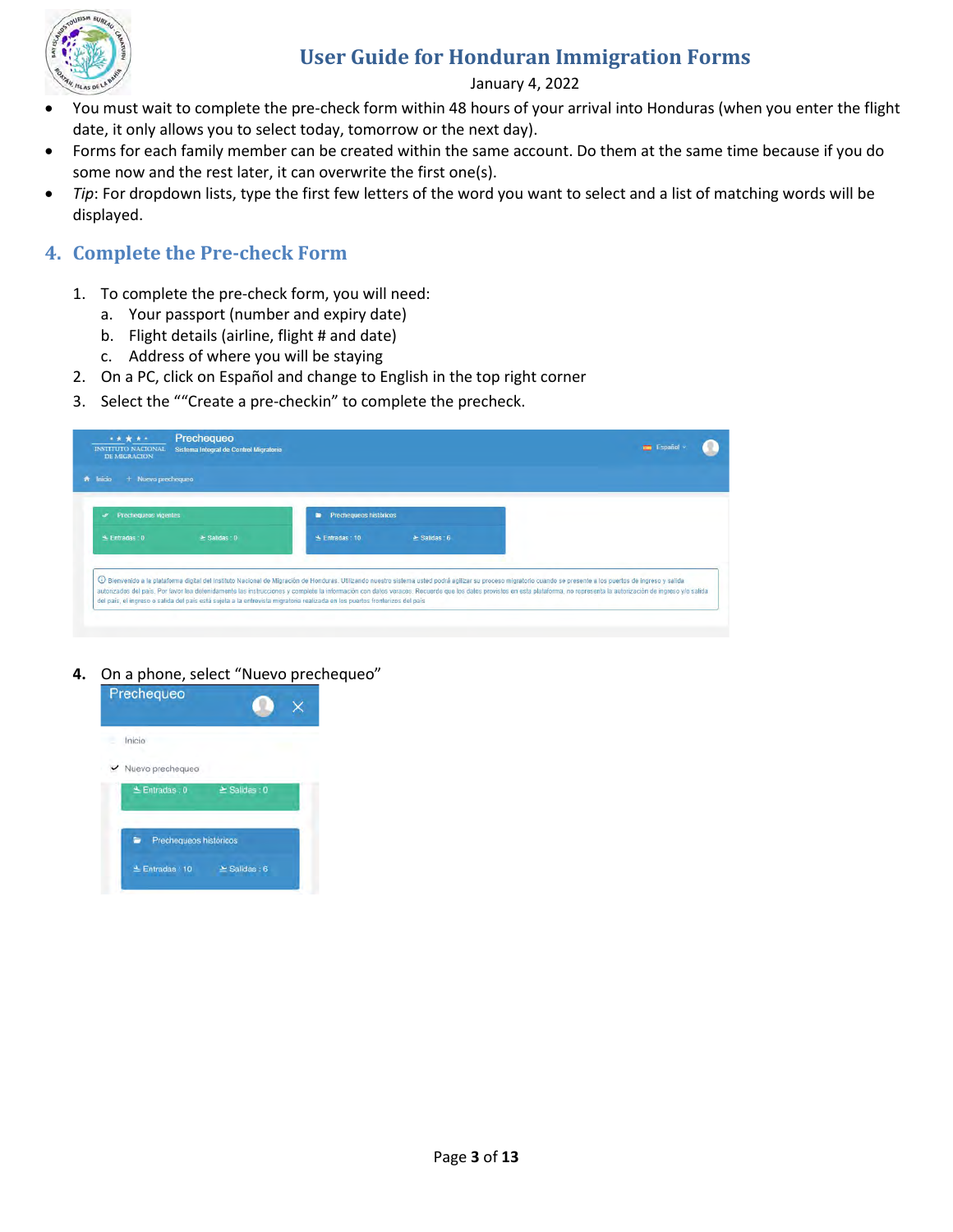

#### January 4, 2022

- You must wait to complete the pre-check form within 48 hours of your arrival into Honduras (when you enter the flight date, it only allows you to select today, tomorrow or the next day).
- Forms for each family member can be created within the same account. Do them at the same time because if you do some now and the rest later, it can overwrite the first one(s).
- *Tip*: For dropdown lists, type the first few letters of the word you want to select and a list of matching words will be displayed.

### <span id="page-2-0"></span>**4. Complete the Pre-check Form**

- 1. To complete the pre-check form, you will need:
	- a. Your passport (number and expiry date)
	- b. Flight details (airline, flight # and date)
	- c. Address of where you will be staying
- 2. On a PC, click on Español and change to English in the top right corner
- 3. Select the ""Create a pre-checkin" to complete the precheck.

| <b>Prechequeos vigentes</b><br>$\mathscr{A}$ |                  | <b>Prechequeos históricos</b><br>∍ |                  |  |
|----------------------------------------------|------------------|------------------------------------|------------------|--|
| $\triangle$ Entradas: 0                      | $\geq$ Salidas 0 | $\triangle$ Entradas: 10           | $\geq$ Salidas 6 |  |

**4.** On a phone, select "Nuevo prechequeo"

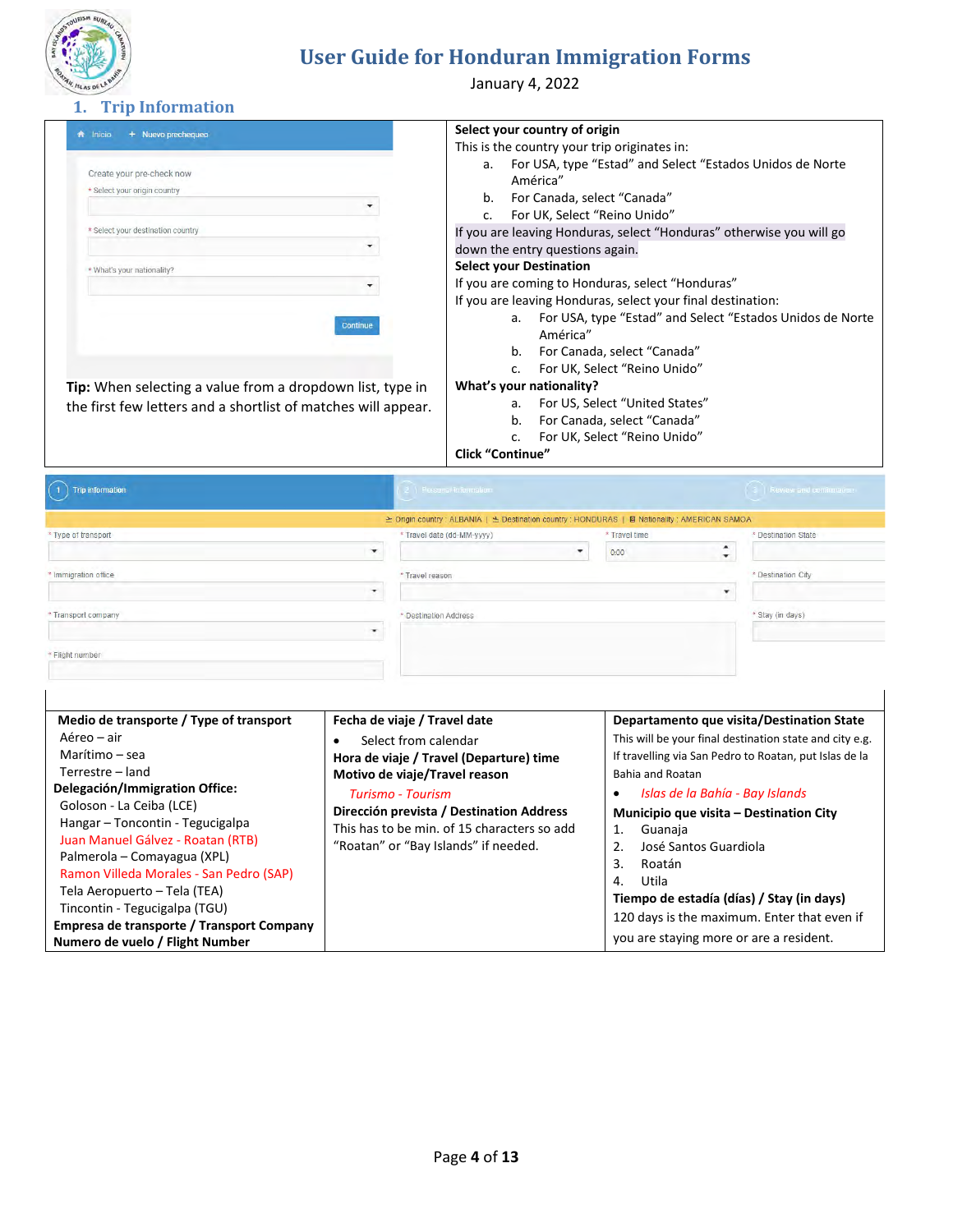

January 4, 2022

#### **1. Trip Information**

| Create your pre-check now         |          |
|-----------------------------------|----------|
| * Select your origin country      |          |
|                                   |          |
| * Select your destination country |          |
|                                   |          |
| * What's your nationality?        |          |
|                                   |          |
|                                   | Continue |
|                                   |          |

#### **Select your country of origin**

This is the country your trip originates in:

- a. For USA, type "Estad" and Select "Estados Unidos de Norte América"
- b. For Canada, select "Canada"
- c. For UK, Select "Reino Unido"

If you are leaving Honduras, select "Honduras" otherwise you will go

### down the entry questions again.

**Select your Destination**

If you are coming to Honduras, select "Honduras"

If you are leaving Honduras, select your final destination:

- a. For USA, type "Estad" and Select "Estados Unidos de Norte América"
- b. For Canada, select "Canada"
- c. For UK, Select "Reino Unido"

#### **What's your nationality?**

- a. For US, Select "United States"
- b. For Canada, select "Canada"
	- c. For UK, Select "Reino Unido"

**Click "Continue"**

| <b>Trip information</b> |              | Personal information                                                                              |                                                    | Review and committee in |
|-------------------------|--------------|---------------------------------------------------------------------------------------------------|----------------------------------------------------|-------------------------|
|                         |              | Le Origin country : ALBANIA   Le Destination country : HONDURAS   El Nationality : AMERICAN SAMOA |                                                    |                         |
| * Type of transport     |              | * Travel date (dd-MM-yyyy)                                                                        | * Travel time                                      | * Destination State     |
|                         | $\mathbf{v}$ | ۰                                                                                                 | $\ddot{\phantom{1}}$<br>0:00<br>$\boldsymbol{\pi}$ |                         |
| * Immigration office    |              | * Travel reason                                                                                   |                                                    | * Destination City      |
|                         |              |                                                                                                   |                                                    |                         |
| * Transport company     |              | * Destination Address                                                                             |                                                    | * Stay (in days)        |
|                         | $\cdot$      |                                                                                                   |                                                    |                         |
| * Flight number         |              |                                                                                                   |                                                    |                         |
|                         |              |                                                                                                   |                                                    |                         |

| Medio de transporte / Type of transport   | Fecha de viaje / Travel date                | Departamento que visita/Destination State               |
|-------------------------------------------|---------------------------------------------|---------------------------------------------------------|
| Aéreo – air                               | Select from calendar                        | This will be your final destination state and city e.g. |
| Marítimo – sea                            | Hora de viaje / Travel (Departure) time     | If travelling via San Pedro to Roatan, put Islas de la  |
| Terrestre - land                          | Motivo de viaje/Travel reason               | Bahia and Roatan                                        |
| Delegación/Immigration Office:            | Turismo - Tourism                           | Islas de la Bahía - Bay Islands                         |
| Goloson - La Ceiba (LCE)                  | Dirección prevista / Destination Address    | Municipio que visita – Destination City                 |
| Hangar - Toncontin - Tegucigalpa          | This has to be min, of 15 characters so add | Guanaja<br>1.                                           |
| Juan Manuel Gálvez - Roatan (RTB)         | "Roatan" or "Bay Islands" if needed.        | José Santos Guardiola                                   |
| Palmerola – Comayagua (XPL)               |                                             | Roatán<br>3.                                            |
| Ramon Villeda Morales - San Pedro (SAP)   |                                             | Utila<br>4.                                             |
| Tela Aeropuerto – Tela (TEA)              |                                             | Tiempo de estadía (días) / Stay (in days)               |
| Tincontin - Tegucigalpa (TGU)             |                                             | 120 days is the maximum. Enter that even if             |
| Empresa de transporte / Transport Company |                                             |                                                         |
| Numero de vuelo / Flight Number           |                                             | you are staying more or are a resident.                 |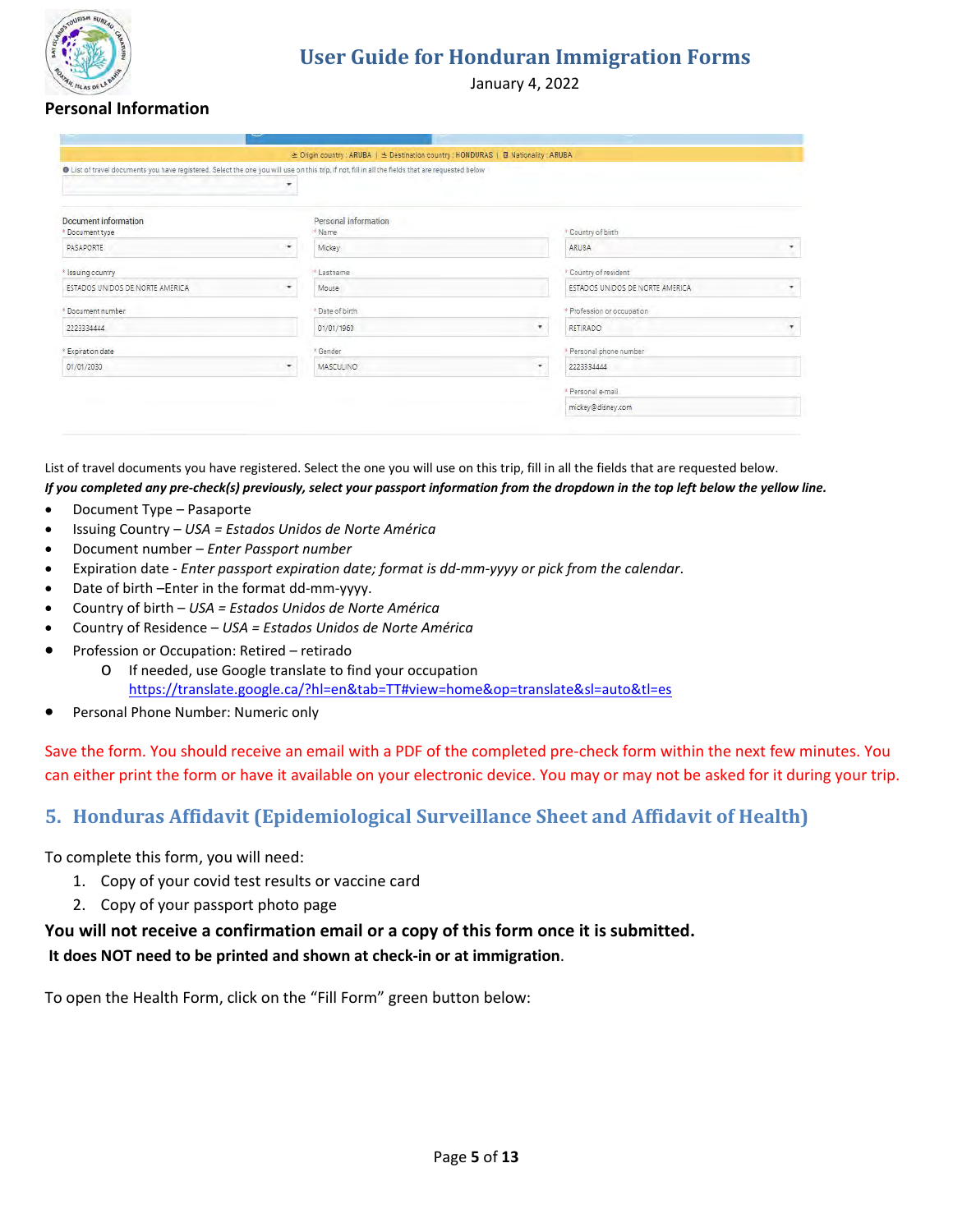

January 4, 2022

### **Personal Information**

| O List of travel documents you have registered. Select the one you will use on this trip, if not, fill in all the fields that are requested below | $\overline{\phantom{a}}$ |                                |   |                                 |                     |
|---------------------------------------------------------------------------------------------------------------------------------------------------|--------------------------|--------------------------------|---|---------------------------------|---------------------|
| <b>Document information</b><br>* Document type                                                                                                    |                          | Personal information<br>* Name |   | * Country of birth              |                     |
| <b>PASAPORTE</b>                                                                                                                                  | $\cdot$                  | Mickey                         |   | ARUBA                           | ۰                   |
| * Issuing country                                                                                                                                 |                          | * Lastname                     |   | * Country of resident           |                     |
| ESTADOS UNIDOS DE NORTE AMERICA                                                                                                                   | $\cdot$                  | Mouse                          |   | ESTADOS UNIDOS DE NORTE AMERICA | $\scriptstyle\star$ |
| * Document number                                                                                                                                 |                          | * Date of birth                |   | * Profession or occupation      |                     |
| 2223334444                                                                                                                                        |                          | 01/01/1960                     | ۰ | <b>RETIRADO</b>                 | ۳                   |
| Expiration date                                                                                                                                   |                          | * Gender                       |   | * Personal phone number         |                     |
| 01/01/2030                                                                                                                                        | ۰                        | MASCULINO                      | ۰ | 2223334444                      |                     |
|                                                                                                                                                   |                          |                                |   | * Personal e-mail               |                     |
|                                                                                                                                                   |                          |                                |   | mickey@disney.com               |                     |

List of travel documents you have registered. Select the one you will use on this trip, fill in all the fields that are requested below. *If you completed any pre-check(s) previously, select your passport information from the dropdown in the top left below the yellow line.*

- Document Type Pasaporte
- Issuing Country *USA = Estados Unidos de Norte América*
- Document number *Enter Passport number*
- Expiration date *Enter passport expiration date; format is dd-mm-yyyy or pick from the calendar*.
- Date of birth –Enter in the format dd-mm-yyyy.
- Country of birth *USA = Estados Unidos de Norte América*
- Country of Residence *USA = Estados Unidos de Norte América*
- Profession or Occupation: Retired retirado
	- o If needed, use Google translate to find your occupation <https://translate.google.ca/?hl=en&tab=TT#view=home&op=translate&sl=auto&tl=es>
- Personal Phone Number: Numeric only

Save the form. You should receive an email with a PDF of the completed pre-check form within the next few minutes. You can either print the form or have it available on your electronic device. You may or may not be asked for it during your trip.

### <span id="page-4-0"></span>**5. Honduras Affidavit (Epidemiological Surveillance Sheet and Affidavit of Health)**

To complete this form, you will need:

- 1. Copy of your covid test results or vaccine card
- 2. Copy of your passport photo page

### **You will not receive a confirmation email or a copy of this form once it is submitted. It does NOT need to be printed and shown at check-in or at immigration**.

To open the Health Form, click on the "Fill Form" green button below: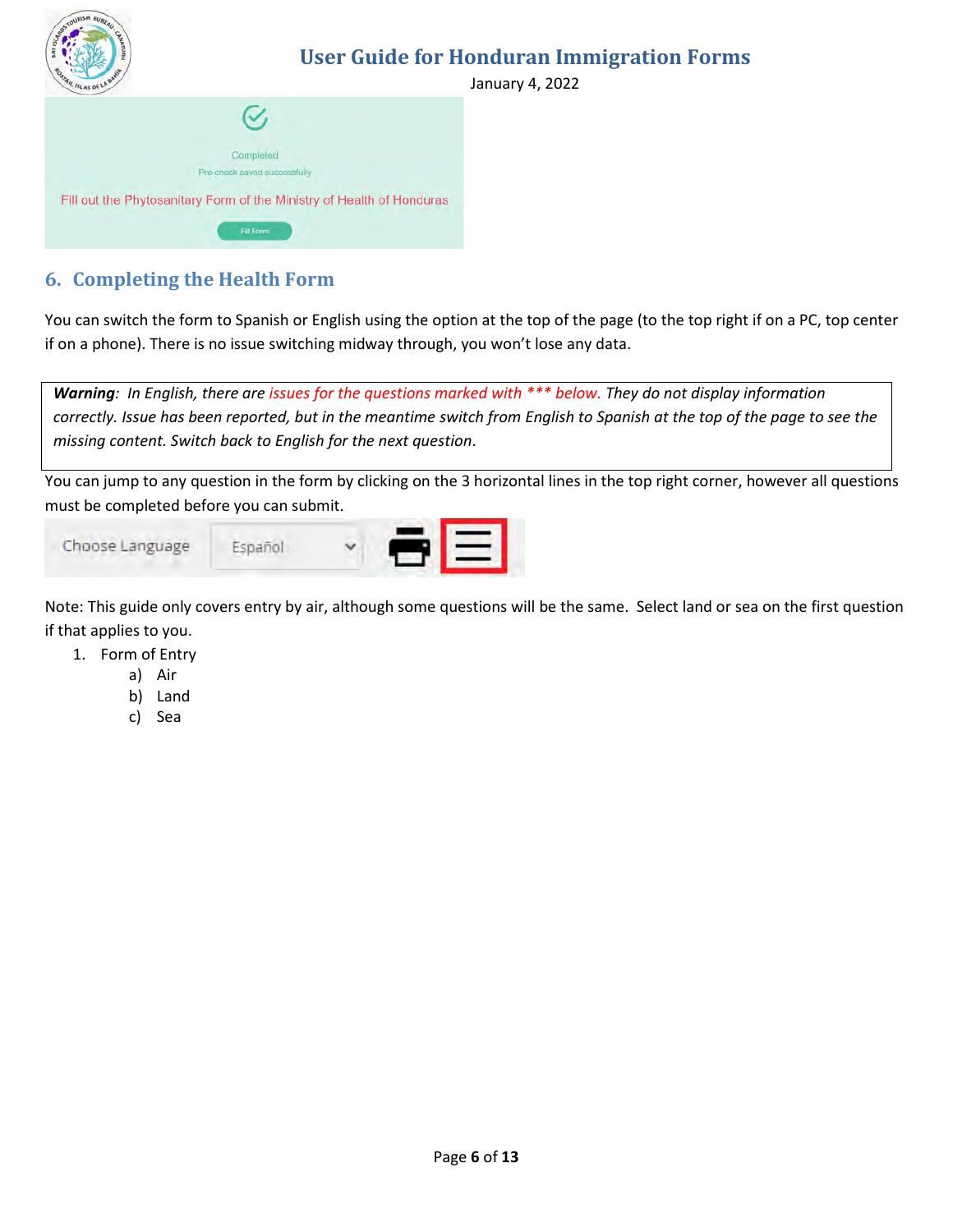

# <span id="page-5-0"></span>**6. Completing the Health Form**

You can switch the form to Spanish or English using the option at the top of the page (to the top right if on a PC, top center if on a phone). There is no issue switching midway through, you won't lose any data.

*Warning: In English, there are issues for the questions marked with \*\*\* below. They do not display information correctly. Issue has been reported, but in the meantime switch from English to Spanish at the top of the page to see the missing content. Switch back to English for the next question*.

You can jump to any question in the form by clicking on the 3 horizontal lines in the top right corner, however all questions must be completed before you can submit.



Note: This guide only covers entry by air, although some questions will be the same. Select land or sea on the first question if that applies to you.

- 1. Form of Entry
	- a) Air
	- b) Land
	- c) Sea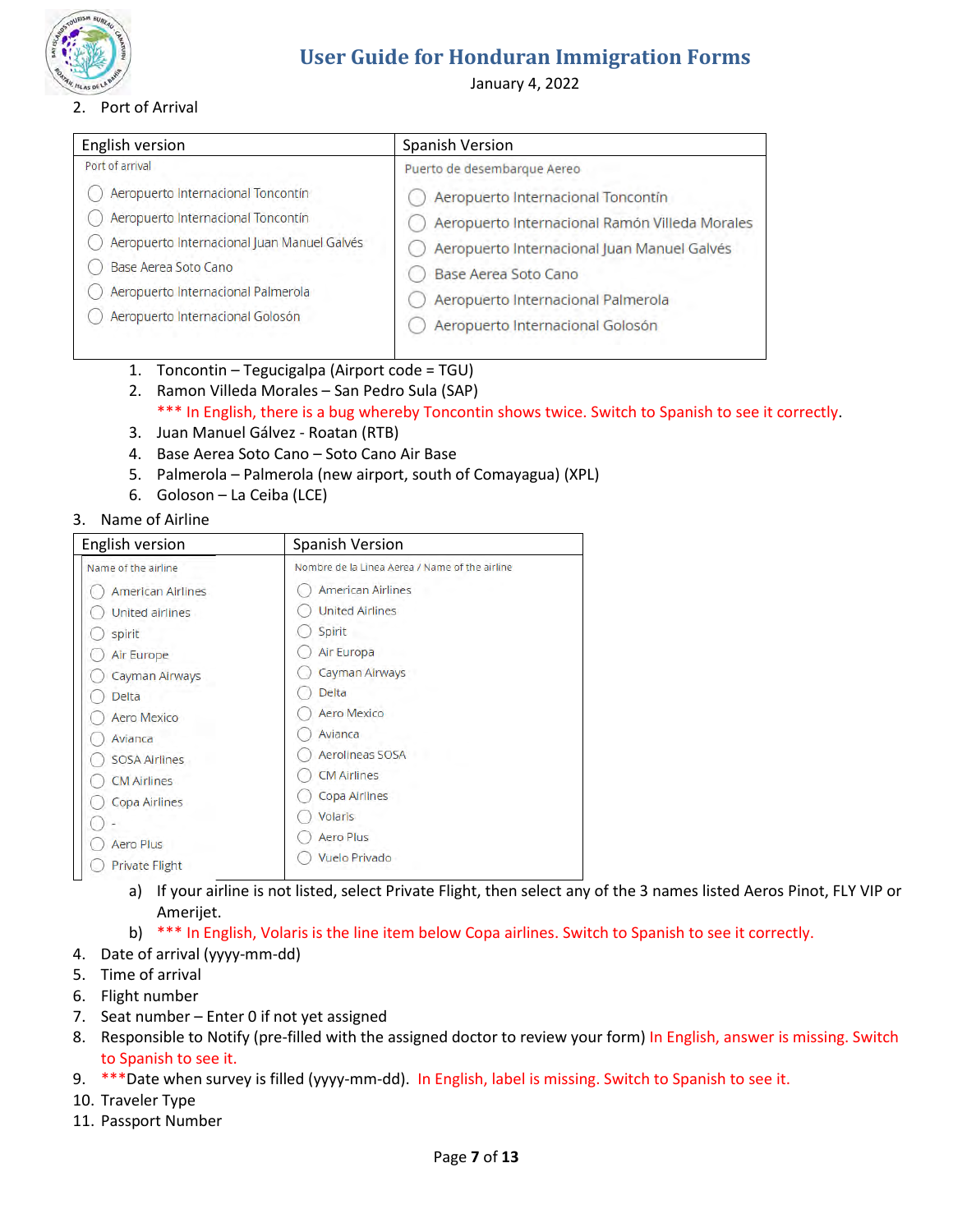

### 2. Port of Arrival

# **User Guide for Honduran Immigration Forms**

January 4, 2022

| English version                             | Spanish Version                                |
|---------------------------------------------|------------------------------------------------|
| Port of arrival                             | Puerto de desembarque Aereo                    |
| Aeropuerto Internacional Toncontín          | Aeropuerto Internacional Toncontín             |
| Aeropuerto Internacional Toncontín          | Aeropuerto Internacional Ramón Villeda Morales |
| Aeropuerto Internacional Juan Manuel Galvés | Aeropuerto Internacional Juan Manuel Galvés    |
| Base Aerea Soto Cano                        | Base Aerea Soto Cano                           |
| Aeropuerto Internacional Palmerola          | Aeropuerto Internacional Palmerola             |
| Aeropuerto Internacional Golosón            | Aeropuerto Internacional Golosón               |

- 1. Toncontin Tegucigalpa (Airport code = TGU)
- 2. Ramon Villeda Morales San Pedro Sula (SAP)
	- \*\*\* In English, there is a bug whereby Toncontin shows twice. Switch to Spanish to see it correctly.
- 3. Juan Manuel Gálvez Roatan (RTB)
- 4. Base Aerea Soto Cano Soto Cano Air Base
- 5. Palmerola Palmerola (new airport, south of Comayagua) (XPL)
- 6. Goloson La Ceiba (LCE)
- 3. Name of Airline

| English version          | <b>Spanish Version</b>                         |
|--------------------------|------------------------------------------------|
| Name of the airline      | Nombre de la Linea Aerea / Name of the airline |
| <b>American Airlines</b> | <b>American Airlines</b>                       |
| United airlines          | <b>United Airlines</b>                         |
| spirit                   | Spirit                                         |
| Air Europe               | Air Europa                                     |
| Cayman Airways           | Cayman Airways                                 |
| <b>Delta</b>             | Delta                                          |
| <b>Aero Mexico</b>       | <b>Aero Mexico</b>                             |
| Avianca                  | Avianca                                        |
| <b>SOSA Airlines</b>     | Aerolineas SOSA                                |
| <b>CM Airlines</b>       | <b>CM Airlines</b>                             |
| Copa Airlines            | Copa Airlines                                  |
|                          | Volaris                                        |
| <b>Aero Plus</b>         | <b>Aero Plus</b>                               |
| <b>Private Flight</b>    | <b>Vuelo Privado</b>                           |

- a) If your airline is not listed, select Private Flight, then select any of the 3 names listed Aeros Pinot, FLY VIP or Amerijet.
- b) \*\*\* In English, Volaris is the line item below Copa airlines. Switch to Spanish to see it correctly.
- 4. Date of arrival (yyyy-mm-dd)
- 5. Time of arrival
- 6. Flight number
- 7. Seat number Enter 0 if not yet assigned
- 8. Responsible to Notify (pre-filled with the assigned doctor to review your form) In English, answer is missing. Switch to Spanish to see it.
- 9. \*\*\* Date when survey is filled (yyyy-mm-dd). In English, label is missing. Switch to Spanish to see it.
- 10. Traveler Type
- 11. Passport Number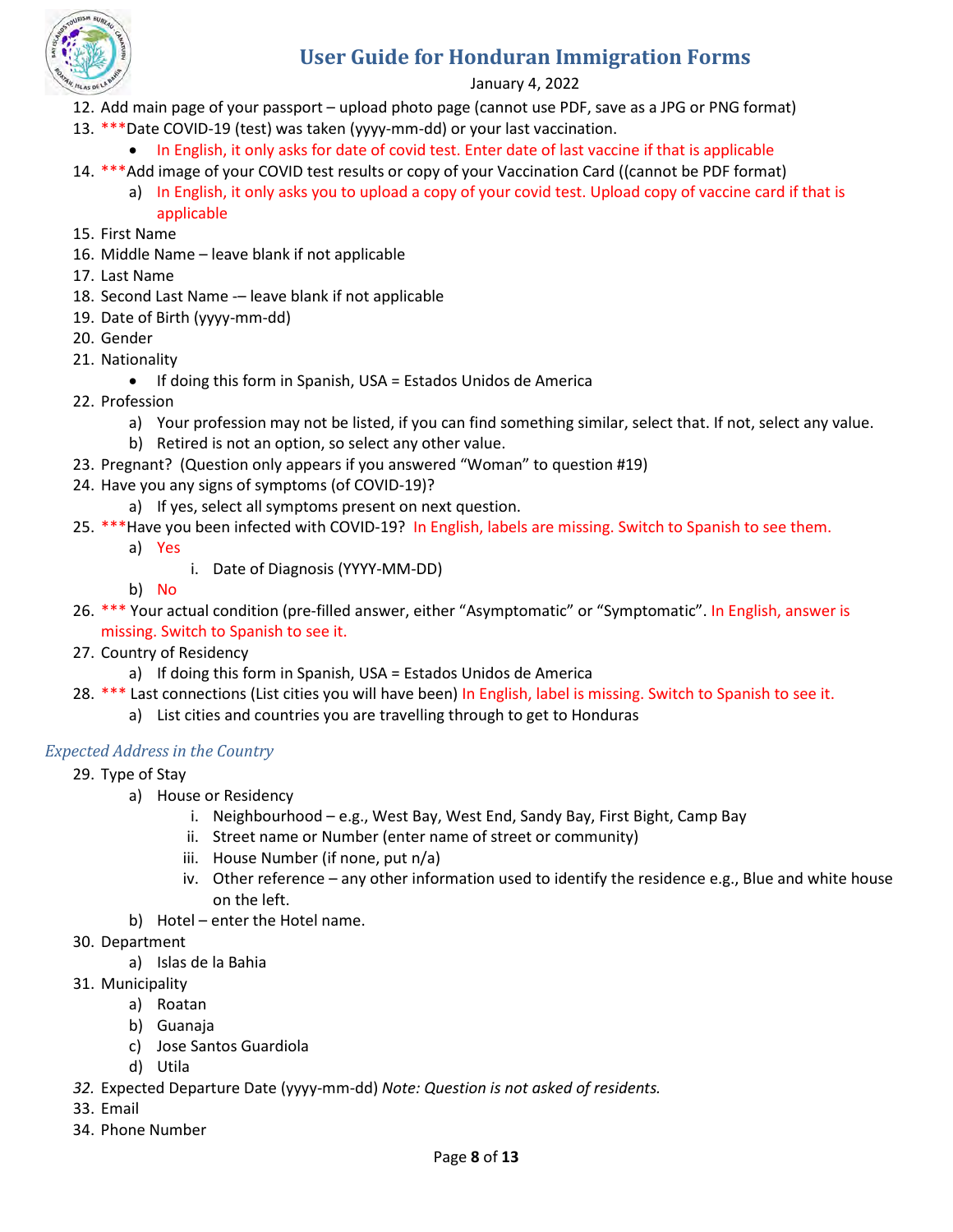

### January 4, 2022

- 12. Add main page of your passport upload photo page (cannot use PDF, save as a JPG or PNG format)
- 13. \*\*\*Date COVID-19 (test) was taken (yyyy-mm-dd) or your last vaccination.
	- In English, it only asks for date of covid test. Enter date of last vaccine if that is applicable
- 14. \*\*\*Add image of your COVID test results or copy of your Vaccination Card ((cannot be PDF format) a) In English, it only asks you to upload a copy of your covid test. Upload copy of vaccine card if that is applicable
- 15. First Name
- 16. Middle Name leave blank if not applicable
- 17. Last Name
- 18. Second Last Name -- leave blank if not applicable
- 19. Date of Birth (yyyy-mm-dd)
- 20. Gender
- 21. Nationality
	- If doing this form in Spanish, USA = Estados Unidos de America
- 22. Profession
	- a) Your profession may not be listed, if you can find something similar, select that. If not, select any value.
	- b) Retired is not an option, so select any other value.
- 23. Pregnant? (Question only appears if you answered "Woman" to question #19)
- 24. Have you any signs of symptoms (of COVID-19)?
	- a) If yes, select all symptoms present on next question.
- 25. \*\*\*Have you been infected with COVID-19? In English, labels are missing. Switch to Spanish to see them.
	- a) Yes
		- i. Date of Diagnosis (YYYY-MM-DD)
	- b) No
- 26. \*\*\* Your actual condition (pre-filled answer, either "Asymptomatic" or "Symptomatic". In English, answer is missing. Switch to Spanish to see it.
- 27. Country of Residency
	- a) If doing this form in Spanish, USA = Estados Unidos de America
- 28. \*\*\* Last connections (List cities you will have been) In English, label is missing. Switch to Spanish to see it.
	- a) List cities and countries you are travelling through to get to Honduras

### *Expected Address in the Country*

- 29. Type of Stay
	- a) House or Residency
		- i. Neighbourhood e.g., West Bay, West End, Sandy Bay, First Bight, Camp Bay
		- ii. Street name or Number (enter name of street or community)
		- iii. House Number (if none, put n/a)
		- iv. Other reference any other information used to identify the residence e.g., Blue and white house on the left.
	- b) Hotel enter the Hotel name.
- 30. Department
	- a) Islas de la Bahia
- 31. Municipality
	- a) Roatan
	- b) Guanaja
	- c) Jose Santos Guardiola
	- d) Utila
- *32.* Expected Departure Date (yyyy-mm-dd) *Note: Question is not asked of residents.*
- 33. Email
- 34. Phone Number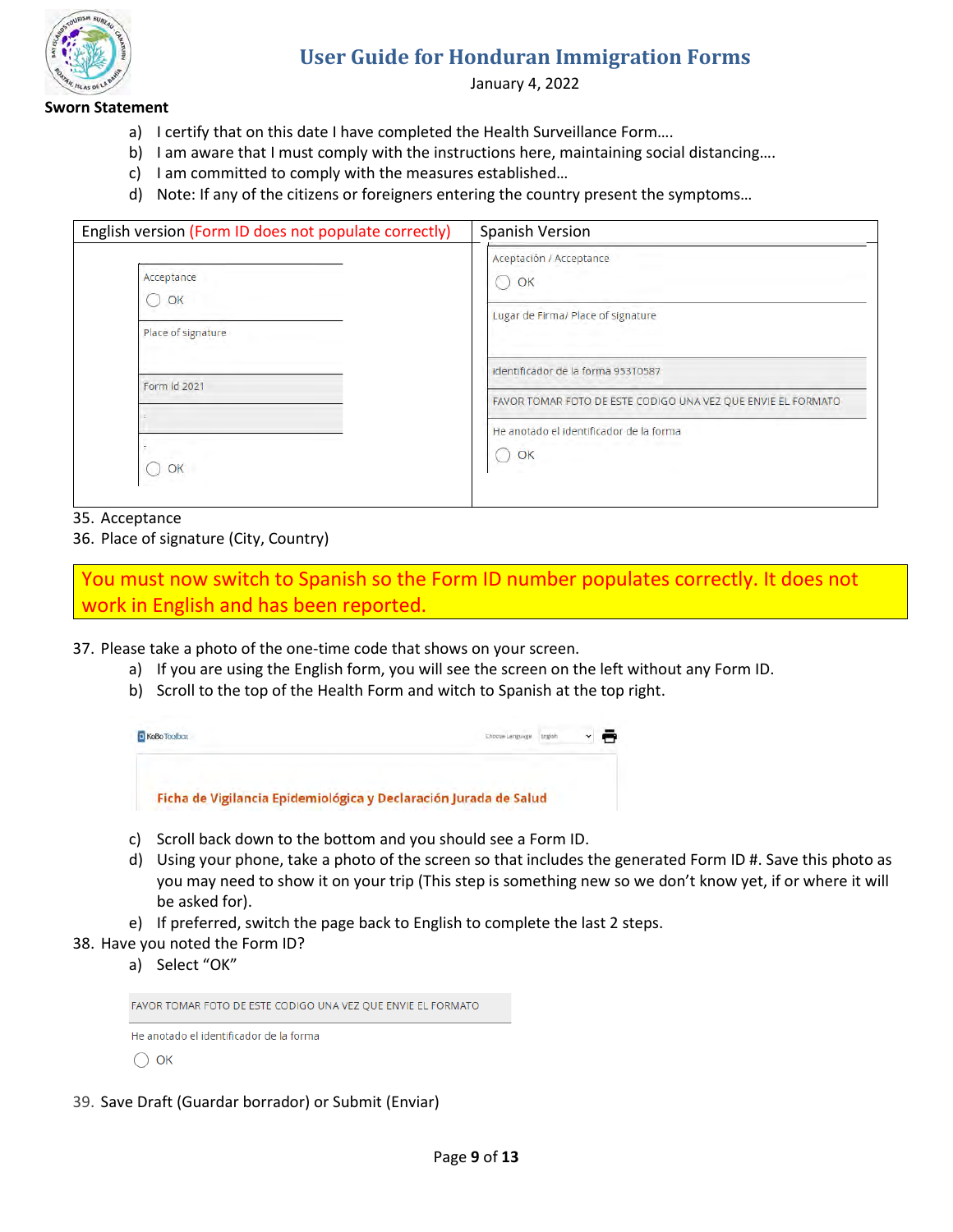

January 4, 2022

#### **Sworn Statement**

- a) I certify that on this date I have completed the Health Surveillance Form….
- b) I am aware that I must comply with the instructions here, maintaining social distancing....
- c) I am committed to comply with the measures established…
- d) Note: If any of the citizens or foreigners entering the country present the symptoms…

| English version (Form ID does not populate correctly) | Spanish Version                                                                                               |
|-------------------------------------------------------|---------------------------------------------------------------------------------------------------------------|
| Acceptance<br>OK                                      | Aceptación / Acceptance<br>OK<br>Lugar de Firma/ Place of signature                                           |
| Place of signature<br>Form Id 2021                    | identificador de la forma 95310587                                                                            |
| OK                                                    | FAVOR TOMAR FOTO DE ESTE CODIGO UNA VEZ QUE ENVIE EL FORMATO<br>He anotado el identificador de la forma<br>OK |

#### 35. Acceptance

36. Place of signature (City, Country)

You must now switch to Spanish so the Form ID number populates correctly. It does not work in English and has been reported.

- 37. Please take a photo of the one-time code that shows on your screen.
	- a) If you are using the English form, you will see the screen on the left without any Form ID.
	- b) Scroll to the top of the Health Form and witch to Spanish at the top right.



- c) Scroll back down to the bottom and you should see a Form ID.
- d) Using your phone, take a photo of the screen so that includes the generated Form ID #. Save this photo as you may need to show it on your trip (This step is something new so we don't know yet, if or where it will be asked for).
- e) If preferred, switch the page back to English to complete the last 2 steps.
- 38. Have you noted the Form ID?

a) Select "OK"

| FAVOR TOMAR FOTO DE ESTE CODIGO UNA VEZ QUE ENVIE EL FORMATO |  |
|--------------------------------------------------------------|--|
| - He anotado el identificador de la forma                    |  |

 $\bigcirc$  ok

39. Save Draft (Guardar borrador) or Submit (Enviar)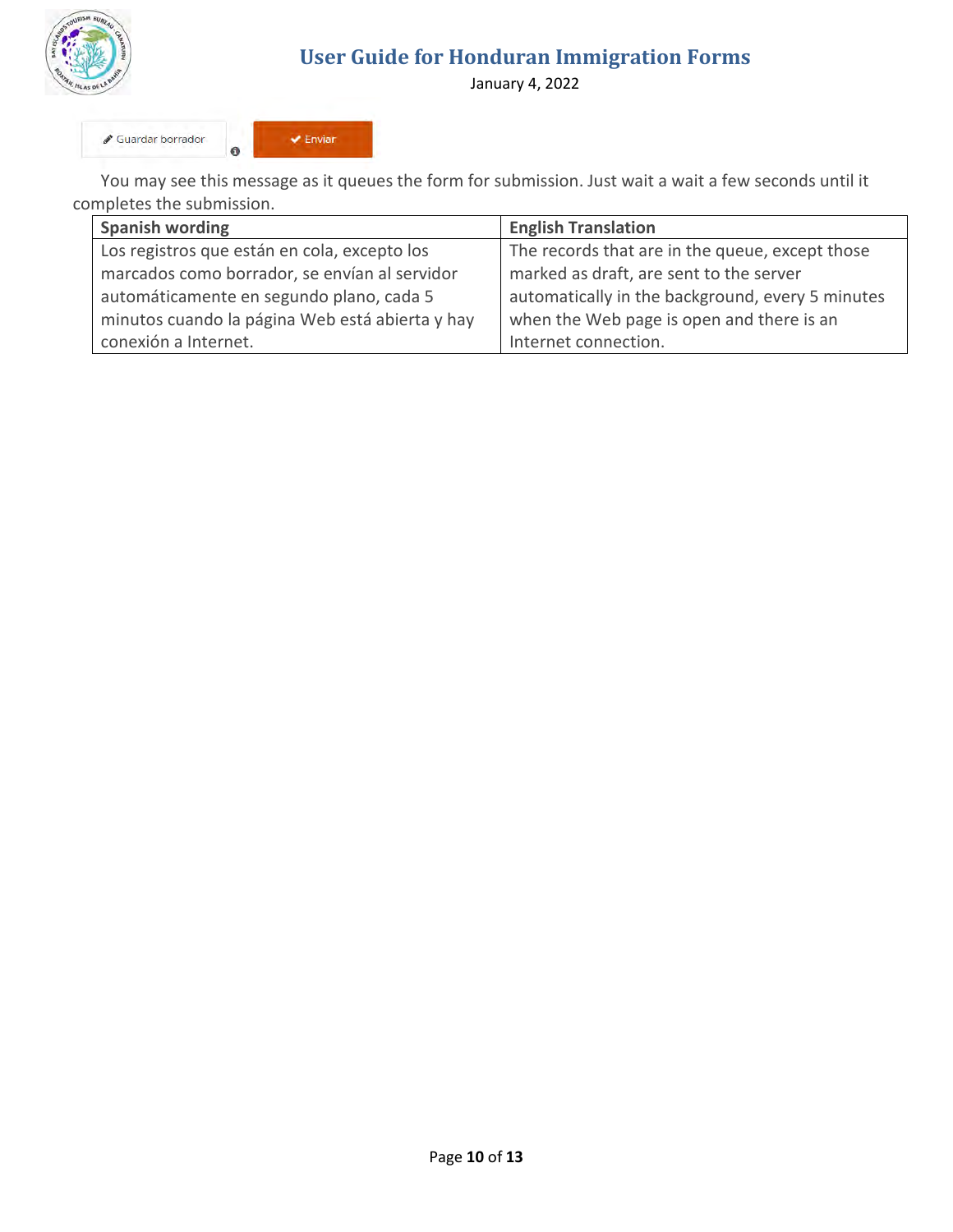

January 4, 2022

Guardar borrador  $\bullet$ 



You may see this message as it queues the form for submission. Just wait a wait a few seconds until it completes the submission.

| <b>Spanish wording</b>                          | <b>English Translation</b>                       |
|-------------------------------------------------|--------------------------------------------------|
| Los registros que están en cola, excepto los    | The records that are in the queue, except those  |
| marcados como borrador, se envían al servidor   | marked as draft, are sent to the server          |
| automáticamente en segundo plano, cada 5        | automatically in the background, every 5 minutes |
| minutos cuando la página Web está abierta y hay | when the Web page is open and there is an        |
| conexión a Internet.                            | Internet connection.                             |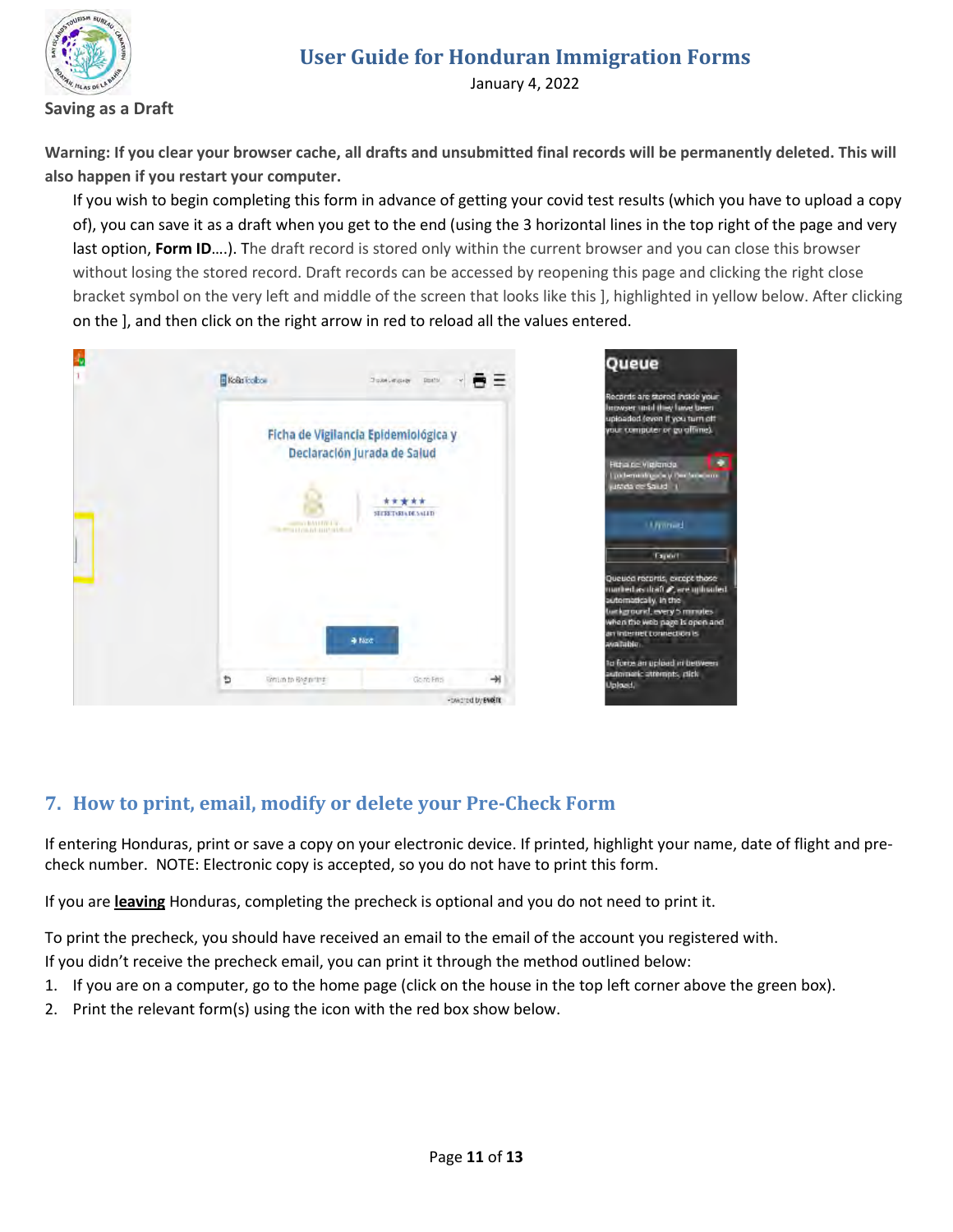

January 4, 2022

#### **Saving as a Draft**

**Warning: If you clear your browser cache, all drafts and unsubmitted final records will be permanently deleted. This will also happen if you restart your computer.**

If you wish to begin completing this form in advance of getting your covid test results (which you have to upload a copy of), you can save it as a draft when you get to the end (using the 3 horizontal lines in the top right of the page and very last option, **Form ID**….). The draft record is stored only within the current browser and you can close this browser without losing the stored record. Draft records can be accessed by reopening this page and clicking the right close bracket symbol on the very left and middle of the screen that looks like this ], highlighted in yellow below. After clicking on the ], and then click on the right arrow in red to reload all the values entered.

| Kola Todos<br><b>British Accept</b><br>Don't<br>=                   | Queue                                                                                                                                                               |
|---------------------------------------------------------------------|---------------------------------------------------------------------------------------------------------------------------------------------------------------------|
| Ficha de Vigilancia Epidemiológica y<br>Declaración jurada de Salud | Records are stored inside your<br>browser until they have been<br>uploaded (even if you turn off<br>your computer or go offime).<br><b>Rd a ne Vigignda</b>         |
| *****<br>STERED REVOLUTI<br>sumer Internet at                       | pictomental parts of the familiarm.<br>unter de Salud<br><b>Limmed</b>                                                                                              |
| <b>RESIDENTIAL CONTROL</b>                                          | Taport<br>Queuea recorris, except those                                                                                                                             |
| + Not                                                               | marked as itality, are uphrated.<br>automatically, in the<br>turkground, every 5 minutes<br>when the web page is open and<br>an internet connection is<br>avalable. |
| Ð<br>ᅰ<br><b>Sittim to Begin the</b><br>Go ro Ensi                  | to force an uploed in between.<br>automatic attempts, click<br>Upload.                                                                                              |
| -twidted by ENGIN                                                   |                                                                                                                                                                     |

## <span id="page-10-0"></span>**7. How to print, email, modify or delete your Pre-Check Form**

If entering Honduras, print or save a copy on your electronic device. If printed, highlight your name, date of flight and precheck number. NOTE: Electronic copy is accepted, so you do not have to print this form.

If you are **leaving** Honduras, completing the precheck is optional and you do not need to print it.

To print the precheck, you should have received an email to the email of the account you registered with.

If you didn't receive the precheck email, you can print it through the method outlined below:

- 1. If you are on a computer, go to the home page (click on the house in the top left corner above the green box).
- 2. Print the relevant form(s) using the icon with the red box show below.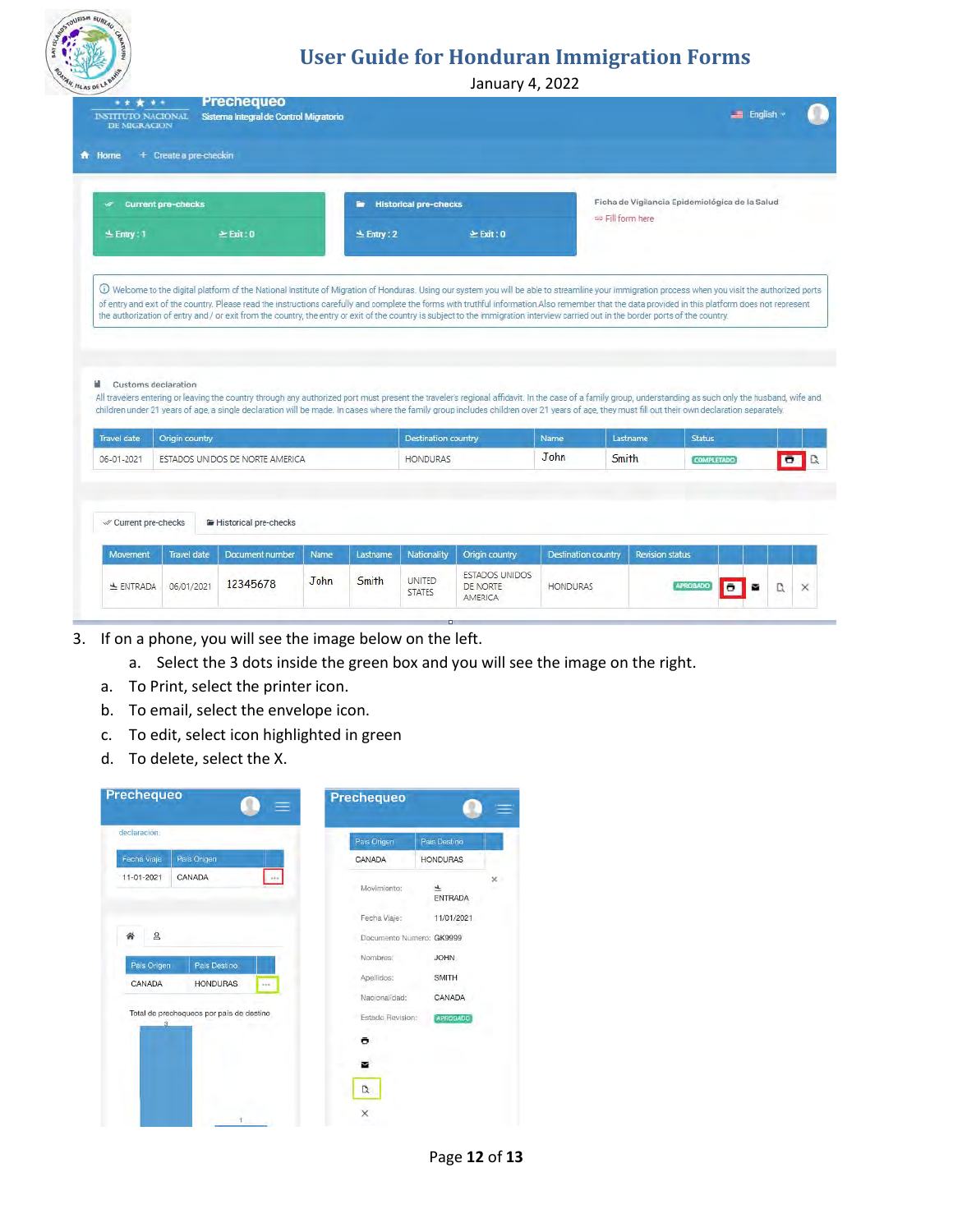

January 4, 2022

| <b>Current pre-checks</b><br>s     |                | ٠.                           | <b>Historical pre-checks</b>                                                                                                                                                                                                                                                                                                                                                                                                        |                  | Ficha de Vigilancia Epidemiológica de la Salud<br>to Fill form here |  |
|------------------------------------|----------------|------------------------------|-------------------------------------------------------------------------------------------------------------------------------------------------------------------------------------------------------------------------------------------------------------------------------------------------------------------------------------------------------------------------------------------------------------------------------------|------------------|---------------------------------------------------------------------|--|
| $\leq$ Entry : 1                   | $\geq$ Exit: 0 | $\geq$ Exit: 0<br>± Entry: 2 |                                                                                                                                                                                                                                                                                                                                                                                                                                     |                  |                                                                     |  |
|                                    |                |                              |                                                                                                                                                                                                                                                                                                                                                                                                                                     |                  |                                                                     |  |
| Customs declaration<br>Travel date | Origin country |                              | All travelers entering or leaving the country through any authorized port must present the traveler's regional affidavit. In the case of a family group, understanding as such only the husband, wife and<br>children under 21 years of age, a single declaration will be made. In cases where the family group includes children over 21 years of age, they must fill out their own declaration separately.<br>Destination country | Lastname<br>Name | <b>Status</b>                                                       |  |

- 3. If on a phone, you will see the image below on the left.
	- a. Select the 3 dots inside the green box and you will see the image on the right.
	- a. To Print, select the printer icon.
	- b. To email, select the envelope icon.
	- c. To edit, select icon highlighted in green
	- d. To delete, select the X.

| Pais Origen<br>CANADA<br><b>HONDURAS</b><br>CANADA<br>$\frac{1}{2}$<br>$\times$<br>Movimiento:<br>$\overline{\tau}$<br><b>ENTRADA</b><br>Fecha Viaje:<br>11/01/2021<br>Documento Numero: GK9999<br>Nombres:<br><b>JOHN</b><br>Pais Destino<br>Apellidos:<br><b>SMITH</b><br><b>HONDURAS</b><br>$-10$<br>Nacionalidad:<br>CANADA<br>Estado Revision:<br><b>APROBADO</b><br>ō<br>M | declaración.                                  | Pais Origen | Pais Destino |
|----------------------------------------------------------------------------------------------------------------------------------------------------------------------------------------------------------------------------------------------------------------------------------------------------------------------------------------------------------------------------------|-----------------------------------------------|-------------|--------------|
|                                                                                                                                                                                                                                                                                                                                                                                  | Fecha Viaje                                   |             |              |
|                                                                                                                                                                                                                                                                                                                                                                                  | 11-01-2021                                    |             |              |
|                                                                                                                                                                                                                                                                                                                                                                                  |                                               |             |              |
|                                                                                                                                                                                                                                                                                                                                                                                  | $\mathsf{a}$                                  |             |              |
|                                                                                                                                                                                                                                                                                                                                                                                  | Pais Origen                                   |             |              |
|                                                                                                                                                                                                                                                                                                                                                                                  | CANADA                                        |             |              |
|                                                                                                                                                                                                                                                                                                                                                                                  |                                               |             |              |
|                                                                                                                                                                                                                                                                                                                                                                                  | Total de prechequeos por país de destino<br>3 |             |              |
|                                                                                                                                                                                                                                                                                                                                                                                  |                                               |             |              |
|                                                                                                                                                                                                                                                                                                                                                                                  |                                               |             |              |